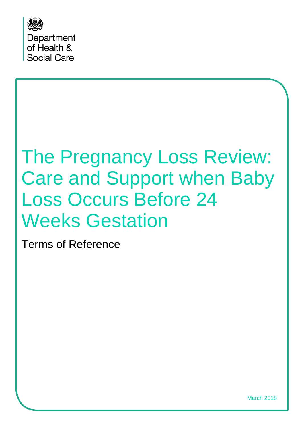

# The Pregnancy Loss Review: Care and Support when Baby Loss Occurs Before 24 Weeks Gestation

Terms of Reference

March 2018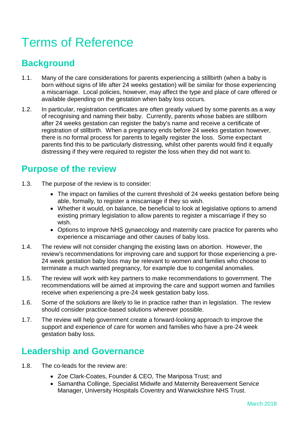# Terms of Reference

## **Background**

- 1.1. Many of the care considerations for parents experiencing a stillbirth (when a baby is born without signs of life after 24 weeks gestation) will be similar for those experiencing a miscarriage. Local policies, however, may affect the type and place of care offered or available depending on the gestation when baby loss occurs.
- 1.2. In particular, registration certificates are often greatly valued by some parents as a way of recognising and naming their baby. Currently, parents whose babies are stillborn after 24 weeks gestation can register the baby's name and receive a certificate of registration of stillbirth. When a pregnancy ends before 24 weeks gestation however, there is no formal process for parents to legally register the loss. Some expectant parents find this to be particularly distressing, whilst other parents would find it equally distressing if they were required to register the loss when they did not want to.

#### **Purpose of the review**

- 1.3. The purpose of the review is to consider:
	- The impact on families of the current threshold of 24 weeks gestation before being able, formally, to register a miscarriage if they so wish.
	- Whether it would, on balance, be beneficial to look at legislative options to amend existing primary legislation to allow parents to register a miscarriage if they so wish.
	- Options to improve NHS gynaecology and maternity care practice for parents who experience a miscarriage and other causes of baby loss.
- 1.4. The review will not consider changing the existing laws on abortion. However, the review's recommendations for improving care and support for those experiencing a pre-24 week gestation baby loss may be relevant to women and families who choose to terminate a much wanted pregnancy, for example due to congenital anomalies.
- 1.5. The review will work with key partners to make recommendations to government. The recommendations will be aimed at improving the care and support women and families receive when experiencing a pre-24 week gestation baby loss.
- 1.6. Some of the solutions are likely to lie in practice rather than in legislation. The review should consider practice-based solutions wherever possible.
- 1.7. The review will help government create a forward-looking approach to improve the support and experience of care for women and families who have a pre-24 week gestation baby loss.

#### **Leadership and Governance**

- 1.8. The co-leads for the review are:
	- Zoe Clark-Coates, Founder & CEO, The Mariposa Trust; and
	- Samantha Collinge, Specialist Midwife and Maternity Bereavement Service Manager, University Hospitals Coventry and Warwickshire NHS Trust.